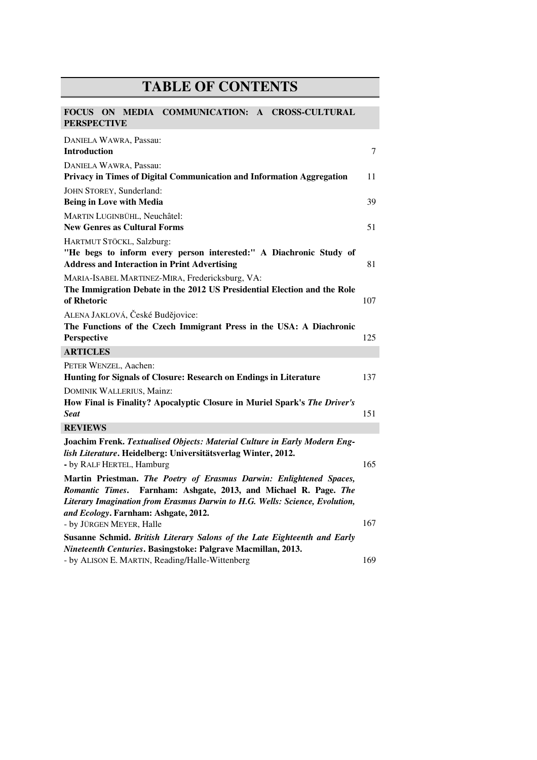## **TABLE OF CONTENTS**

| COMMUNICATION: A CROSS-CULTURAL<br><b>FOCUS</b><br>ON<br>MEDIA<br><b>PERSPECTIVE</b>                                                                                                                                      |     |
|---------------------------------------------------------------------------------------------------------------------------------------------------------------------------------------------------------------------------|-----|
| DANIELA WAWRA, Passau:<br><b>Introduction</b>                                                                                                                                                                             | 7   |
| DANIELA WAWRA, Passau:<br>Privacy in Times of Digital Communication and Information Aggregation                                                                                                                           | 11  |
| JOHN STOREY, Sunderland:<br><b>Being in Love with Media</b>                                                                                                                                                               | 39  |
| <b>MARTIN LUGINBÜHL, Neuchâtel:</b><br><b>New Genres as Cultural Forms</b>                                                                                                                                                | 51  |
| HARTMUT STÖCKL, Salzburg:<br>"He begs to inform every person interested:" A Diachronic Study of<br><b>Address and Interaction in Print Advertising</b>                                                                    | 81  |
| MARIA-ISABEL MARTINEZ-MIRA, Fredericksburg, VA:<br>The Immigration Debate in the 2012 US Presidential Election and the Role<br>of Rhetoric                                                                                | 107 |
| ALENA JAKLOVÁ, České Budějovice:<br>The Functions of the Czech Immigrant Press in the USA: A Diachronic<br>Perspective                                                                                                    | 125 |
| <b>ARTICLES</b>                                                                                                                                                                                                           |     |
| PETER WENZEL, Aachen:<br>Hunting for Signals of Closure: Research on Endings in Literature                                                                                                                                | 137 |
| DOMINIK WALLERIUS, Mainz:<br>How Final is Finality? Apocalyptic Closure in Muriel Spark's The Driver's<br><b>Seat</b>                                                                                                     | 151 |
| <b>REVIEWS</b>                                                                                                                                                                                                            |     |
| Joachim Frenk. Textualised Objects: Material Culture in Early Modern Eng-<br>lish Literature. Heidelberg: Universitätsverlag Winter, 2012.<br>- by RALF HERTEL, Hamburg                                                   | 165 |
| Martin Priestman. The Poetry of Erasmus Darwin: Enlightened Spaces,<br>Farnham: Ashgate, 2013, and Michael R. Page. The<br>Romantic Times.<br>Literary Imagination from Erasmus Darwin to H.G. Wells: Science, Evolution, |     |
| and Ecology. Farnham: Ashgate, 2012.<br>- by JÜRGEN MEYER, Halle                                                                                                                                                          | 167 |
| Susanne Schmid. British Literary Salons of the Late Eighteenth and Early<br>Nineteenth Centuries. Basingstoke: Palgrave Macmillan, 2013.<br>- by ALISON E. MARTIN, Reading/Halle-Wittenberg                               | 169 |
|                                                                                                                                                                                                                           |     |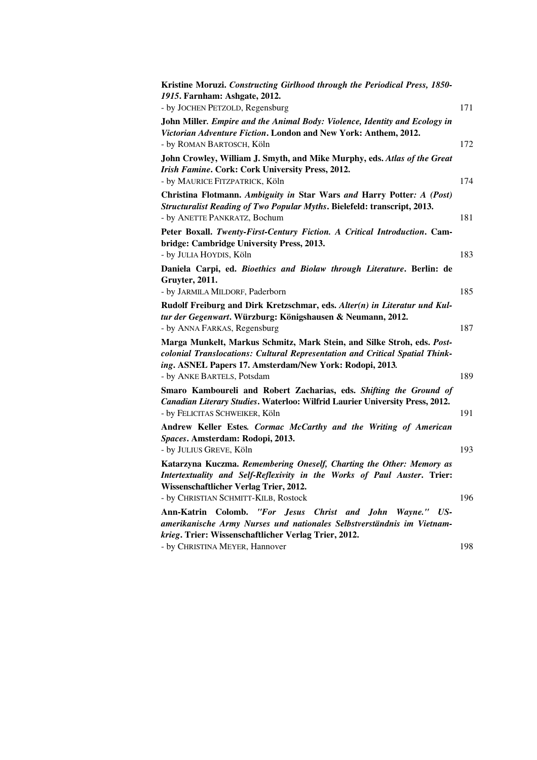| Kristine Moruzi. Constructing Girlhood through the Periodical Press, 1850-                                                                                                                                        |     |
|-------------------------------------------------------------------------------------------------------------------------------------------------------------------------------------------------------------------|-----|
| 1915. Farnham: Ashgate, 2012.                                                                                                                                                                                     |     |
| - by JOCHEN PETZOLD, Regensburg                                                                                                                                                                                   | 171 |
| John Miller. Empire and the Animal Body: Violence, Identity and Ecology in<br><i>Victorian Adventure Fiction.</i> London and New York: Anthem, 2012.<br>- by ROMAN BARTOSCH, Köln                                 | 172 |
| John Crowley, William J. Smyth, and Mike Murphy, eds. Atlas of the Great<br>Irish Famine. Cork: Cork University Press, 2012.<br>- by MAURICE FITZPATRICK, Köln                                                    | 174 |
| Christina Flotmann. Ambiguity in Star Wars and Harry Potter: A (Post)                                                                                                                                             |     |
| Structuralist Reading of Two Popular Myths. Bielefeld: transcript, 2013.<br>- by ANETTE PANKRATZ, Bochum                                                                                                          | 181 |
| Peter Boxall. Twenty-First-Century Fiction. A Critical Introduction. Cam-                                                                                                                                         |     |
| bridge: Cambridge University Press, 2013.                                                                                                                                                                         |     |
| - by JULIA HOYDIS, Köln                                                                                                                                                                                           | 183 |
| Daniela Carpi, ed. <i>Bioethics and Biolaw through Literature</i> . Berlin: de                                                                                                                                    |     |
| Gruyter, 2011.                                                                                                                                                                                                    |     |
| - by JARMILA MILDORF, Paderborn                                                                                                                                                                                   | 185 |
| Rudolf Freiburg and Dirk Kretzschmar, eds. Alter(n) in Literatur und Kul-<br>tur der Gegenwart. Würzburg: Königshausen & Neumann, 2012.                                                                           |     |
| - by ANNA FARKAS, Regensburg                                                                                                                                                                                      | 187 |
| Marga Munkelt, Markus Schmitz, Mark Stein, and Silke Stroh, eds. Post-<br>colonial Translocations: Cultural Representation and Critical Spatial Think-<br>ing. ASNEL Papers 17. Amsterdam/New York: Rodopi, 2013. |     |
| - by ANKE BARTELS, Potsdam                                                                                                                                                                                        | 189 |
| Smaro Kamboureli and Robert Zacharias, eds. Shifting the Ground of<br>Canadian Literary Studies. Waterloo: Wilfrid Laurier University Press, 2012.                                                                |     |
| - by FELICITAS SCHWEIKER, Köln                                                                                                                                                                                    | 191 |
| Andrew Keller Estes. Cormac McCarthy and the Writing of American<br>Spaces. Amsterdam: Rodopi, 2013.                                                                                                              |     |
| - by JULIUS GREVE, Köln                                                                                                                                                                                           | 193 |
| Katarzyna Kuczma. Remembering Oneself, Charting the Other: Memory as<br>Intertextuality and Self-Reflexivity in the Works of Paul Auster. Trier:<br>Wissenschaftlicher Verlag Trier, 2012.                        |     |
| - by CHRISTIAN SCHMITT-KILB, Rostock                                                                                                                                                                              | 196 |
| Ann-Katrin Colomb.<br>"For Jesus<br>Christ and John<br>Wayne."<br>US-<br>amerikanische Army Nurses und nationales Selbstverständnis im Vietnam-<br>krieg. Trier: Wissenschaftlicher Verlag Trier, 2012.           |     |
| - by CHRISTINA MEYER, Hannover                                                                                                                                                                                    | 198 |
|                                                                                                                                                                                                                   |     |